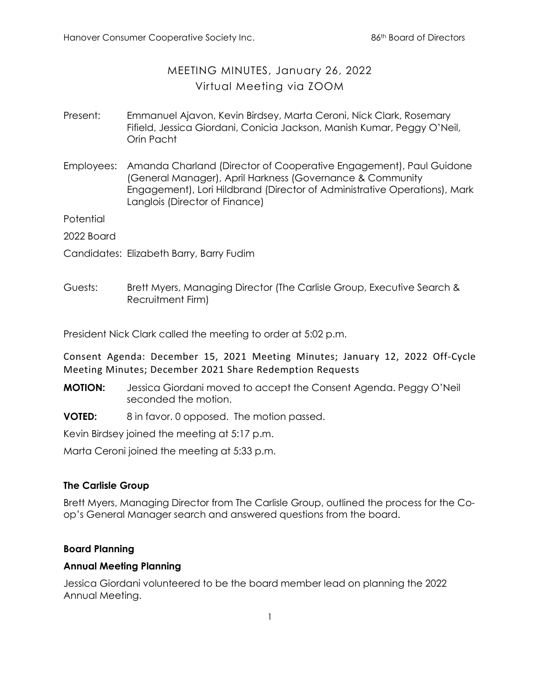# MEETING MINUTES, January 26, 2022 Virtual Meeting via ZOOM

- Present: Emmanuel Ajavon, Kevin Birdsey, Marta Ceroni, Nick Clark, Rosemary Fifield, Jessica Giordani, Conicia Jackson, Manish Kumar, Peggy O'Neil, Orin Pacht
- Employees: Amanda Charland (Director of Cooperative Engagement), Paul Guidone (General Manager), April Harkness (Governance & Community Engagement), Lori Hildbrand (Director of Administrative Operations), Mark Langlois (Director of Finance)

**Potential** 

2022 Board

- Candidates: Elizabeth Barry, Barry Fudim
- Guests: Brett Myers, Managing Director (The Carlisle Group, Executive Search & Recruitment Firm)

President Nick Clark called the meeting to order at 5:02 p.m.

Consent Agenda: December 15, 2021 Meeting Minutes; January 12, 2022 Off-Cycle Meeting Minutes; December 2021 Share Redemption Requests

- **MOTION:** Jessica Giordani moved to accept the Consent Agenda. Peggy O'Neil seconded the motion.
- **VOTED:** 8 in favor. 0 opposed. The motion passed.

Kevin Birdsey joined the meeting at 5:17 p.m.

Marta Ceroni joined the meeting at 5:33 p.m.

# **The Carlisle Group**

Brett Myers, Managing Director from The Carlisle Group, outlined the process for the Coop's General Manager search and answered questions from the board.

### **Board Planning**

### **Annual Meeting Planning**

Jessica Giordani volunteered to be the board member lead on planning the 2022 Annual Meeting.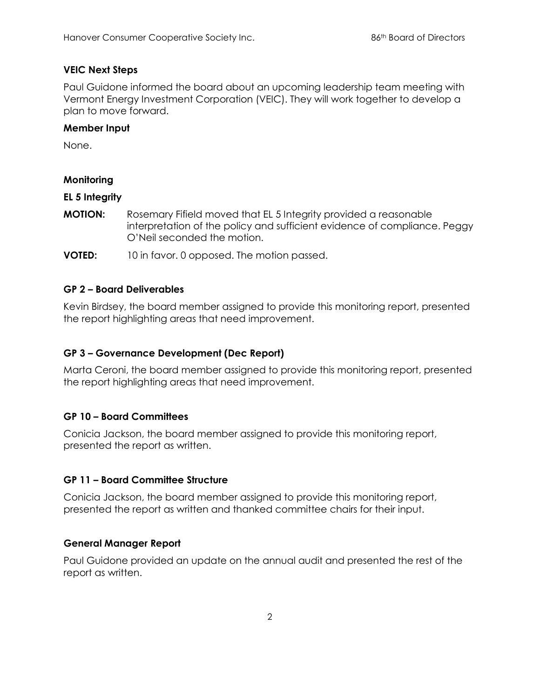## **VEIC Next Steps**

Paul Guidone informed the board about an upcoming leadership team meeting with Vermont Energy Investment Corporation (VEIC). They will work together to develop a plan to move forward.

### **Member Input**

None.

## **Monitoring**

### **EL 5 Integrity**

- **MOTION:** Rosemary Fifield moved that EL 5 Integrity provided a reasonable interpretation of the policy and sufficient evidence of compliance. Peggy O'Neil seconded the motion.
- **VOTED:** 10 in favor. 0 opposed. The motion passed.

## **GP 2 – Board Deliverables**

Kevin Birdsey, the board member assigned to provide this monitoring report, presented the report highlighting areas that need improvement.

# **GP 3 – Governance Development (Dec Report)**

Marta Ceroni, the board member assigned to provide this monitoring report, presented the report highlighting areas that need improvement.

# **GP 10 – Board Committees**

Conicia Jackson, the board member assigned to provide this monitoring report, presented the report as written.

# **GP 11 – Board Committee Structure**

Conicia Jackson, the board member assigned to provide this monitoring report, presented the report as written and thanked committee chairs for their input.

### **General Manager Report**

Paul Guidone provided an update on the annual audit and presented the rest of the report as written.